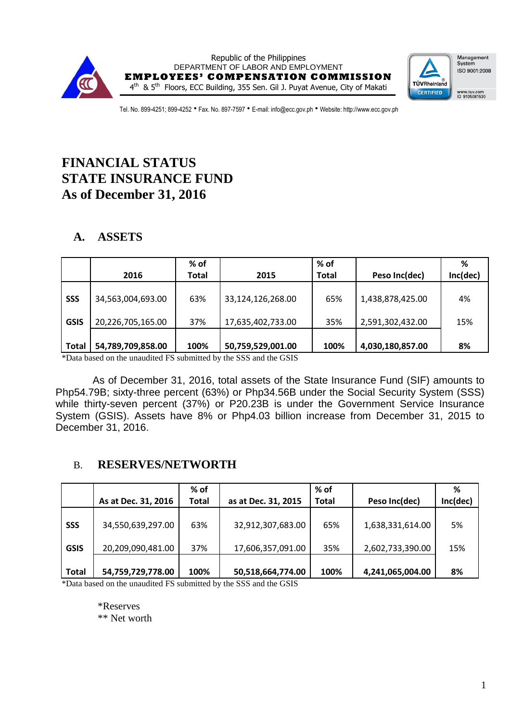



Tel. No. 899-4251; 899-4252 • Fax. No. 897-7597 • E-mail: info@ecc.gov.ph • Website: http://www.ecc.gov.ph

# **FINANCIAL STATUS STATE INSURANCE FUND As of December 31, 2016**

## **A. ASSETS**

|              | 2016              | % of<br>Total | 2015              | $%$ of<br><b>Total</b> | Peso Inc(dec)    | %<br>Inc(dec) |
|--------------|-------------------|---------------|-------------------|------------------------|------------------|---------------|
| <b>SSS</b>   | 34,563,004,693.00 | 63%           | 33,124,126,268.00 | 65%                    | 1,438,878,425.00 | 4%            |
| <b>GSIS</b>  | 20,226,705,165.00 | 37%           | 17,635,402,733.00 | 35%                    | 2,591,302,432.00 | 15%           |
| <b>Total</b> | 54,789,709,858.00 | 100%          | 50,759,529,001.00 | 100%                   | 4,030,180,857.00 | 8%            |

\*Data based on the unaudited FS submitted by the SSS and the GSIS

As of December 31, 2016, total assets of the State Insurance Fund (SIF) amounts to Php54.79B; sixty-three percent (63%) or Php34.56B under the Social Security System (SSS) while thirty-seven percent (37%) or P20.23B is under the Government Service Insurance System (GSIS). Assets have 8% or Php4.03 billion increase from December 31, 2015 to December 31, 2016.

### B. **RESERVES/NETWORTH**

|              |                     | % of         |                     | % of         |                  | %        |
|--------------|---------------------|--------------|---------------------|--------------|------------------|----------|
|              | As at Dec. 31, 2016 | <b>Total</b> | as at Dec. 31, 2015 | <b>Total</b> | Peso Inc(dec)    | Inc(dec) |
| <b>SSS</b>   | 34,550,639,297.00   | 63%          | 32,912,307,683.00   | 65%          | 1,638,331,614.00 | 5%       |
| <b>GSIS</b>  | 20,209,090,481.00   | 37%          | 17,606,357,091.00   | 35%          | 2,602,733,390.00 | 15%      |
| <b>Total</b> | 54,759,729,778.00   | 100%         | 50,518,664,774.00   | 100%         | 4,241,065,004.00 | 8%       |

\*Data based on the unaudited FS submitted by the SSS and the GSIS

\*Reserves

\*\* Net worth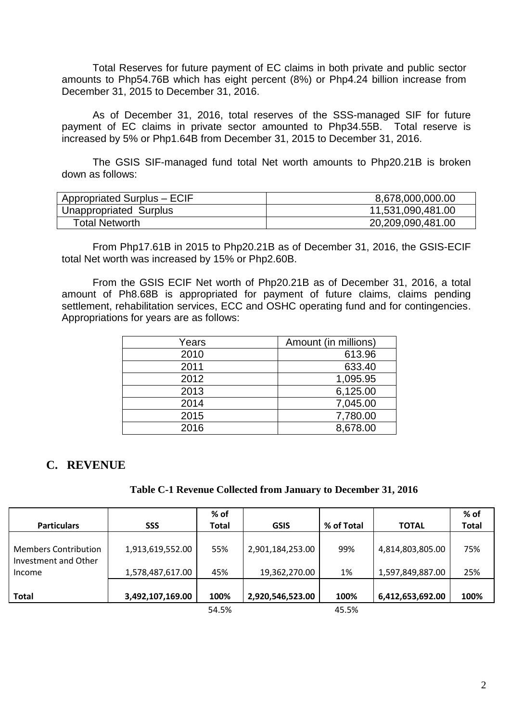Total Reserves for future payment of EC claims in both private and public sector amounts to Php54.76B which has eight percent (8%) or Php4.24 billion increase from December 31, 2015 to December 31, 2016.

As of December 31, 2016, total reserves of the SSS-managed SIF for future payment of EC claims in private sector amounted to Php34.55B. Total reserve is increased by 5% or Php1.64B from December 31, 2015 to December 31, 2016.

The GSIS SIF-managed fund total Net worth amounts to Php20.21B is broken down as follows:

| Appropriated Surplus - ECIF | 8,678,000,000.00  |
|-----------------------------|-------------------|
| Unappropriated Surplus      | 11,531,090,481.00 |
| <b>Total Networth</b>       | 20,209,090,481.00 |

From Php17.61B in 2015 to Php20.21B as of December 31, 2016, the GSIS-ECIF total Net worth was increased by 15% or Php2.60B.

From the GSIS ECIF Net worth of Php20.21B as of December 31, 2016, a total amount of Ph8.68B is appropriated for payment of future claims, claims pending settlement, rehabilitation services, ECC and OSHC operating fund and for contingencies. Appropriations for years are as follows:

| Years | Amount (in millions) |
|-------|----------------------|
| 2010  | 613.96               |
| 2011  | 633.40               |
| 2012  | 1,095.95             |
| 2013  | 6,125.00             |
| 2014  | 7,045.00             |
| 2015  | 7,780.00             |
| 2016  | 8,678.00             |

### **C. REVENUE**

#### **Table C-1 Revenue Collected from January to December 31, 2016**

| <b>Particulars</b>                                  | <b>SSS</b>       | % of<br><b>Total</b> | <b>GSIS</b>      | % of Total | <b>TOTAL</b>     | % of<br><b>Total</b> |
|-----------------------------------------------------|------------------|----------------------|------------------|------------|------------------|----------------------|
| <b>Members Contribution</b><br>Investment and Other | 1,913,619,552.00 | 55%                  | 2,901,184,253.00 | 99%        | 4,814,803,805.00 | 75%                  |
| Income                                              | 1,578,487,617.00 | 45%                  | 19,362,270.00    | 1%         | 1,597,849,887.00 | 25%                  |
| <b>Total</b>                                        | 3,492,107,169.00 | 100%                 | 2,920,546,523.00 | 100%       | 6,412,653,692.00 | 100%                 |
|                                                     |                  | 54.5%                |                  | 45.5%      |                  |                      |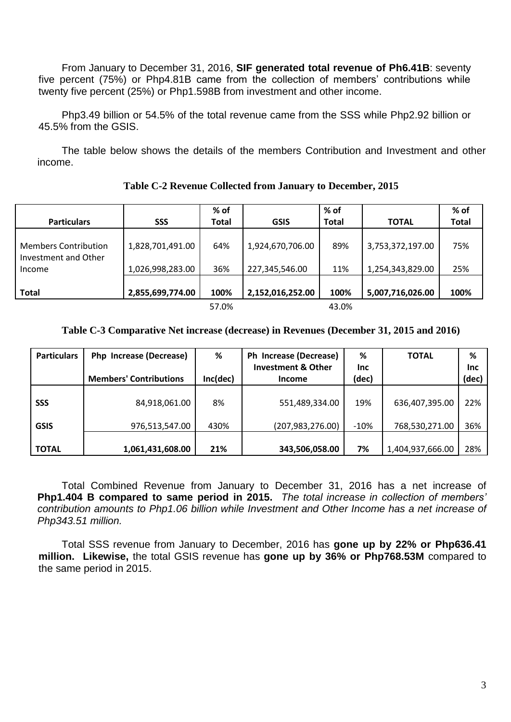From January to December 31, 2016, **SIF generated total revenue of Ph6.41B**: seventy five percent (75%) or Php4.81B came from the collection of members' contributions while twenty five percent (25%) or Php1.598B from investment and other income.

Php3.49 billion or 54.5% of the total revenue came from the SSS while Php2.92 billion or 45.5% from the GSIS.

The table below shows the details of the members Contribution and Investment and other income.

|                                                     |                  | % of         |                  | % of         |                  | % of         |
|-----------------------------------------------------|------------------|--------------|------------------|--------------|------------------|--------------|
| <b>Particulars</b>                                  | <b>SSS</b>       | <b>Total</b> | <b>GSIS</b>      | <b>Total</b> | <b>TOTAL</b>     | <b>Total</b> |
| <b>Members Contribution</b><br>Investment and Other | 1,828,701,491.00 | 64%          | 1,924,670,706.00 | 89%          | 3,753,372,197.00 | 75%          |
| Income                                              | 1,026,998,283.00 | 36%          | 227,345,546.00   | 11%          | 1,254,343,829.00 | 25%          |
| <b>Total</b>                                        | 2,855,699,774.00 | 100%         | 2,152,016,252.00 | 100%         | 5,007,716,026.00 | 100%         |
|                                                     |                  | 57.0%        |                  | 43.0%        |                  |              |

### **Table C-2 Revenue Collected from January to December, 2015**

#### **Table C-3 Comparative Net increase (decrease) in Revenues (December 31, 2015 and 2016)**

| <b>Particulars</b> | Php Increase (Decrease)       | %        | Ph Increase (Decrease)                         | %                   | <b>TOTAL</b>     | %                   |
|--------------------|-------------------------------|----------|------------------------------------------------|---------------------|------------------|---------------------|
|                    | <b>Members' Contributions</b> | Inc(dec) | <b>Investment &amp; Other</b><br><b>Income</b> | <b>Inc</b><br>(dec) |                  | <b>Inc</b><br>(dec) |
|                    |                               |          |                                                |                     |                  |                     |
| <b>SSS</b>         | 84,918,061.00                 | 8%       | 551,489,334.00                                 | 19%                 | 636,407,395.00   | 22%                 |
| <b>GSIS</b>        | 976,513,547.00                | 430%     | (207, 983, 276.00)                             | $-10%$              | 768,530,271.00   | 36%                 |
| <b>TOTAL</b>       | 1,061,431,608.00              | 21%      | 343,506,058.00                                 | 7%                  | 1,404,937,666.00 | 28%                 |

Total Combined Revenue from January to December 31, 2016 has a net increase of **Php1.404 B compared to same period in 2015.** *The total increase in collection of members' contribution amounts to Php1.06 billion while Investment and Other Income has a net increase of Php343.51 million.*

Total SSS revenue from January to December, 2016 has **gone up by 22% or Php636.41 million. Likewise,** the total GSIS revenue has **gone up by 36% or Php768.53M** compared to the same period in 2015.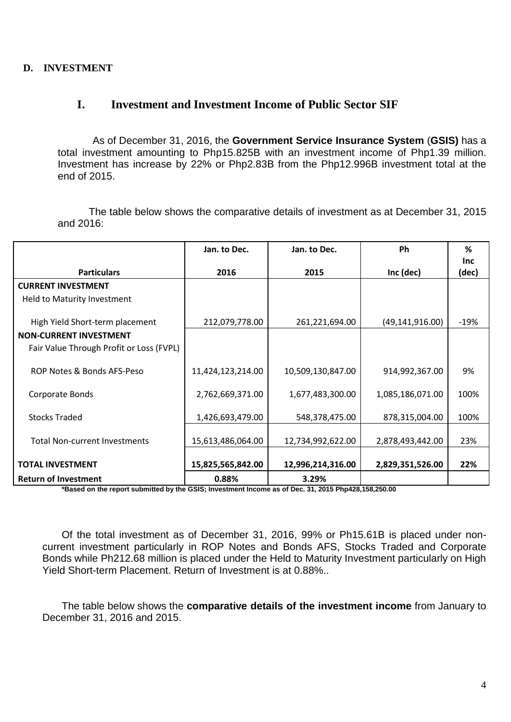### **D. INVESTMENT**

### **I. Investment and Investment Income of Public Sector SIF**

As of December 31, 2016, the **Government Service Insurance System** (**GSIS)** has a total investment amounting to Php15.825B with an investment income of Php1.39 million. Investment has increase by 22% or Php2.83B from the Php12.996B investment total at the end of 2015.

The table below shows the comparative details of investment as at December 31, 2015 and 2016:

|                                          | Jan. to Dec.      | Jan. to Dec.      | Ph                | %                   |
|------------------------------------------|-------------------|-------------------|-------------------|---------------------|
| <b>Particulars</b>                       | 2016              | 2015              | Inc (dec)         | <b>Inc</b><br>(dec) |
| <b>CURRENT INVESTMENT</b>                |                   |                   |                   |                     |
| Held to Maturity Investment              |                   |                   |                   |                     |
| High Yield Short-term placement          | 212,079,778.00    | 261,221,694.00    | (49, 141, 916.00) | $-19%$              |
| <b>NON-CURRENT INVESTMENT</b>            |                   |                   |                   |                     |
| Fair Value Through Profit or Loss (FVPL) |                   |                   |                   |                     |
| ROP Notes & Bonds AFS-Peso               | 11,424,123,214.00 | 10,509,130,847.00 | 914,992,367.00    | 9%                  |
| Corporate Bonds                          | 2,762,669,371.00  | 1,677,483,300.00  | 1,085,186,071.00  | 100%                |
| <b>Stocks Traded</b>                     | 1,426,693,479.00  | 548,378,475.00    | 878,315,004.00    | 100%                |
| <b>Total Non-current Investments</b>     | 15,613,486,064.00 | 12,734,992,622.00 | 2,878,493,442.00  | 23%                 |
| <b>TOTAL INVESTMENT</b>                  | 15,825,565,842.00 | 12,996,214,316.00 | 2,829,351,526.00  | 22%                 |
| <b>Return of Investment</b>              | 0.88%             | 3.29%             |                   |                     |

**\*Based on the report submitted by the GSIS; Investment Income as of Dec. 31, 2015 Php428,158,250.00**

Of the total investment as of December 31, 2016, 99% or Ph15.61B is placed under noncurrent investment particularly in ROP Notes and Bonds AFS, Stocks Traded and Corporate Bonds while Ph212.68 million is placed under the Held to Maturity Investment particularly on High Yield Short-term Placement. Return of Investment is at 0.88%..

The table below shows the **comparative details of the investment income** from January to December 31, 2016 and 2015.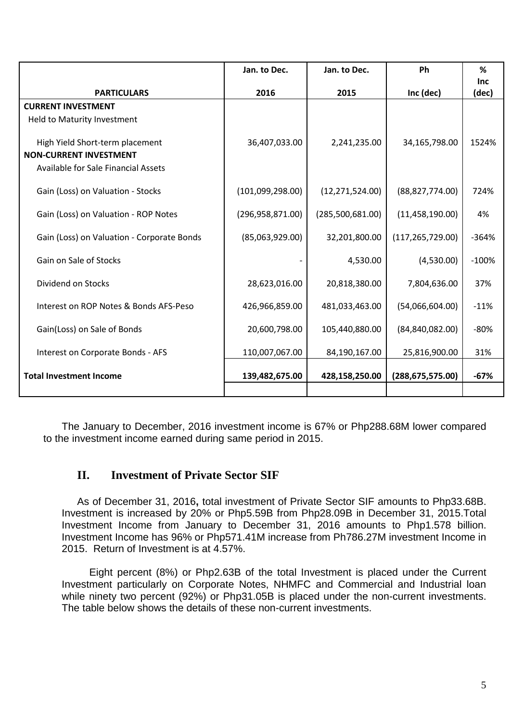|                                            | Jan. to Dec.       | Jan. to Dec.      | <b>Ph</b>          | %<br>Inc |
|--------------------------------------------|--------------------|-------------------|--------------------|----------|
| <b>PARTICULARS</b>                         | 2016               | 2015              | Inc (dec)          | (dec)    |
| <b>CURRENT INVESTMENT</b>                  |                    |                   |                    |          |
| Held to Maturity Investment                |                    |                   |                    |          |
| High Yield Short-term placement            | 36,407,033.00      | 2,241,235.00      | 34,165,798.00      | 1524%    |
| <b>NON-CURRENT INVESTMENT</b>              |                    |                   |                    |          |
| Available for Sale Financial Assets        |                    |                   |                    |          |
| Gain (Loss) on Valuation - Stocks          | (101,099,298.00)   | (12, 271, 524.00) | (88, 827, 774.00)  | 724%     |
| Gain (Loss) on Valuation - ROP Notes       | (296, 958, 871.00) | (285,500,681.00)  | (11, 458, 190.00)  | 4%       |
| Gain (Loss) on Valuation - Corporate Bonds | (85,063,929.00)    | 32,201,800.00     | (117, 265, 729.00) | $-364%$  |
| Gain on Sale of Stocks                     |                    | 4,530.00          | (4,530.00)         | $-100%$  |
| Dividend on Stocks                         | 28,623,016.00      | 20,818,380.00     | 7,804,636.00       | 37%      |
| Interest on ROP Notes & Bonds AFS-Peso     | 426,966,859.00     | 481,033,463.00    | (54,066,604.00)    | $-11%$   |
| Gain(Loss) on Sale of Bonds                | 20,600,798.00      | 105,440,880.00    | (84, 840, 082.00)  | $-80%$   |
| Interest on Corporate Bonds - AFS          | 110,007,067.00     | 84,190,167.00     | 25,816,900.00      | 31%      |
| <b>Total Investment Income</b>             | 139,482,675.00     | 428,158,250.00    | (288, 675, 575.00) | $-67%$   |
|                                            |                    |                   |                    |          |

The January to December, 2016 investment income is 67% or Php288.68M lower compared to the investment income earned during same period in 2015.

### **II. Investment of Private Sector SIF**

As of December 31, 2016**,** total investment of Private Sector SIF amounts to Php33.68B. Investment is increased by 20% or Php5.59B from Php28.09B in December 31, 2015.Total Investment Income from January to December 31, 2016 amounts to Php1.578 billion. Investment Income has 96% or Php571.41M increase from Ph786.27M investment Income in 2015. Return of Investment is at 4.57%.

Eight percent (8%) or Php2.63B of the total Investment is placed under the Current Investment particularly on Corporate Notes, NHMFC and Commercial and Industrial loan while ninety two percent (92%) or Php31.05B is placed under the non-current investments. The table below shows the details of these non-current investments.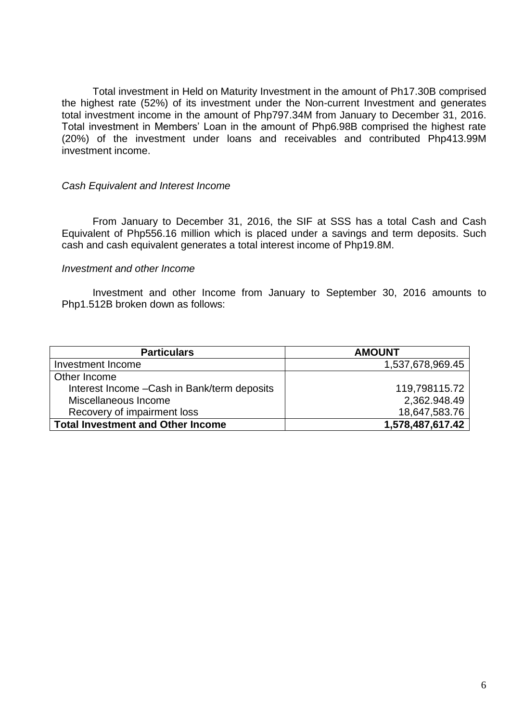Total investment in Held on Maturity Investment in the amount of Ph17.30B comprised the highest rate (52%) of its investment under the Non-current Investment and generates total investment income in the amount of Php797.34M from January to December 31, 2016. Total investment in Members' Loan in the amount of Php6.98B comprised the highest rate (20%) of the investment under loans and receivables and contributed Php413.99M investment income.

#### *Cash Equivalent and Interest Income*

From January to December 31, 2016, the SIF at SSS has a total Cash and Cash Equivalent of Php556.16 million which is placed under a savings and term deposits. Such cash and cash equivalent generates a total interest income of Php19.8M.

#### *Investment and other Income*

Investment and other Income from January to September 30, 2016 amounts to Php1.512B broken down as follows:

| <b>Particulars</b>                           | <b>AMOUNT</b>    |
|----------------------------------------------|------------------|
| Investment Income                            | 1,537,678,969.45 |
| Other Income                                 |                  |
| Interest Income - Cash in Bank/term deposits | 119,798115.72    |
| Miscellaneous Income                         | 2,362.948.49     |
| Recovery of impairment loss                  | 18,647,583.76    |
| <b>Total Investment and Other Income</b>     | 1,578,487,617.42 |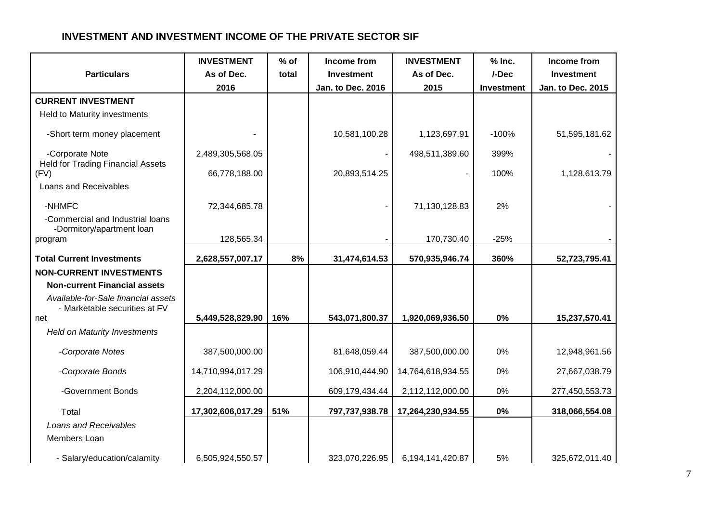### **INVESTMENT AND INVESTMENT INCOME OF THE PRIVATE SECTOR SIF**

|                                                                      | <b>INVESTMENT</b> | $%$ of | Income from              | <b>INVESTMENT</b> | $%$ Inc.          | Income from              |
|----------------------------------------------------------------------|-------------------|--------|--------------------------|-------------------|-------------------|--------------------------|
| <b>Particulars</b>                                                   | As of Dec.        | total  | Investment               | As of Dec.        | /-Dec             | <b>Investment</b>        |
|                                                                      | 2016              |        | <b>Jan. to Dec. 2016</b> | 2015              | <b>Investment</b> | <b>Jan. to Dec. 2015</b> |
| <b>CURRENT INVESTMENT</b>                                            |                   |        |                          |                   |                   |                          |
| Held to Maturity investments                                         |                   |        |                          |                   |                   |                          |
| -Short term money placement                                          |                   |        | 10,581,100.28            | 1,123,697.91      | $-100%$           | 51,595,181.62            |
| -Corporate Note<br><b>Held for Trading Financial Assets</b>          | 2,489,305,568.05  |        |                          | 498,511,389.60    | 399%              |                          |
| (FV)                                                                 | 66,778,188.00     |        | 20,893,514.25            |                   | 100%              | 1,128,613.79             |
| Loans and Receivables                                                |                   |        |                          |                   |                   |                          |
| -NHMFC                                                               | 72,344,685.78     |        |                          | 71,130,128.83     | 2%                |                          |
| -Commercial and Industrial loans<br>-Dormitory/apartment loan        |                   |        |                          |                   |                   |                          |
| program                                                              | 128,565.34        |        |                          | 170,730.40        | $-25%$            |                          |
| <b>Total Current Investments</b>                                     | 2,628,557,007.17  | 8%     | 31,474,614.53            | 570,935,946.74    | 360%              | 52,723,795.41            |
| <b>NON-CURRENT INVESTMENTS</b>                                       |                   |        |                          |                   |                   |                          |
| <b>Non-current Financial assets</b>                                  |                   |        |                          |                   |                   |                          |
| Available-for-Sale financial assets<br>- Marketable securities at FV |                   |        |                          |                   |                   |                          |
| net                                                                  | 5,449,528,829.90  | 16%    | 543,071,800.37           | 1,920,069,936.50  | 0%                | 15,237,570.41            |
| <b>Held on Maturity Investments</b>                                  |                   |        |                          |                   |                   |                          |
| -Corporate Notes                                                     | 387,500,000.00    |        | 81,648,059.44            | 387,500,000.00    | 0%                | 12,948,961.56            |
| -Corporate Bonds                                                     | 14,710,994,017.29 |        | 106,910,444.90           | 14,764,618,934.55 | 0%                | 27,667,038.79            |
| -Government Bonds                                                    | 2,204,112,000.00  |        | 609,179,434.44           | 2,112,112,000.00  | $0\%$             | 277,450,553.73           |
| Total                                                                | 17,302,606,017.29 | 51%    | 797,737,938.78           | 17,264,230,934.55 | $0\%$             | 318,066,554.08           |
| Loans and Receivables                                                |                   |        |                          |                   |                   |                          |
| Members Loan                                                         |                   |        |                          |                   |                   |                          |
| - Salary/education/calamity                                          | 6,505,924,550.57  |        | 323,070,226.95           | 6,194,141,420.87  | 5%                | 325,672,011.40           |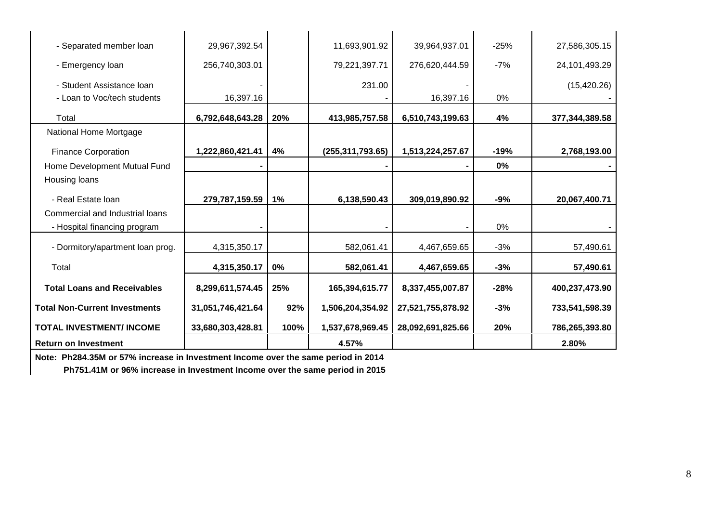| - Separated member loan              | 29,967,392.54     |       | 11,693,901.92      | 39,964,937.01     | $-25%$ | 27,586,305.15  |
|--------------------------------------|-------------------|-------|--------------------|-------------------|--------|----------------|
| - Emergency loan                     | 256,740,303.01    |       | 79,221,397.71      | 276,620,444.59    | $-7%$  | 24,101,493.29  |
| - Student Assistance Ioan            |                   |       | 231.00             |                   |        | (15, 420.26)   |
| - Loan to Voc/tech students          | 16,397.16         |       |                    | 16,397.16         | 0%     |                |
| Total                                | 6,792,648,643.28  | 20%   | 413,985,757.58     | 6,510,743,199.63  | 4%     | 377,344,389.58 |
| National Home Mortgage               |                   |       |                    |                   |        |                |
| <b>Finance Corporation</b>           | 1,222,860,421.41  | 4%    | (255, 311, 793.65) | 1,513,224,257.67  | $-19%$ | 2,768,193.00   |
| Home Development Mutual Fund         |                   |       |                    |                   | 0%     |                |
| Housing loans                        |                   |       |                    |                   |        |                |
| - Real Estate Ioan                   | 279,787,159.59    | $1\%$ | 6,138,590.43       | 309,019,890.92    | -9%    | 20,067,400.71  |
| Commercial and Industrial loans      |                   |       |                    |                   |        |                |
| - Hospital financing program         |                   |       |                    |                   | 0%     |                |
| - Dormitory/apartment loan prog.     | 4,315,350.17      |       | 582,061.41         | 4,467,659.65      | $-3%$  | 57,490.61      |
| Total                                | 4,315,350.17      | 0%    | 582,061.41         | 4,467,659.65      | $-3%$  | 57,490.61      |
| <b>Total Loans and Receivables</b>   | 8,299,611,574.45  | 25%   | 165,394,615.77     | 8,337,455,007.87  | $-28%$ | 400,237,473.90 |
| <b>Total Non-Current Investments</b> | 31,051,746,421.64 | 92%   | 1,506,204,354.92   | 27,521,755,878.92 | $-3%$  | 733,541,598.39 |
| <b>TOTAL INVESTMENT/INCOME</b>       | 33,680,303,428.81 | 100%  | 1,537,678,969.45   | 28,092,691,825.66 | 20%    | 786,265,393.80 |
| <b>Return on Investment</b>          |                   |       | 4.57%              |                   |        | 2.80%          |

**Note: Ph284.35M or 57% increase in Investment Income over the same period in 2014**

 **Ph751.41M or 96% increase in Investment Income over the same period in 2015**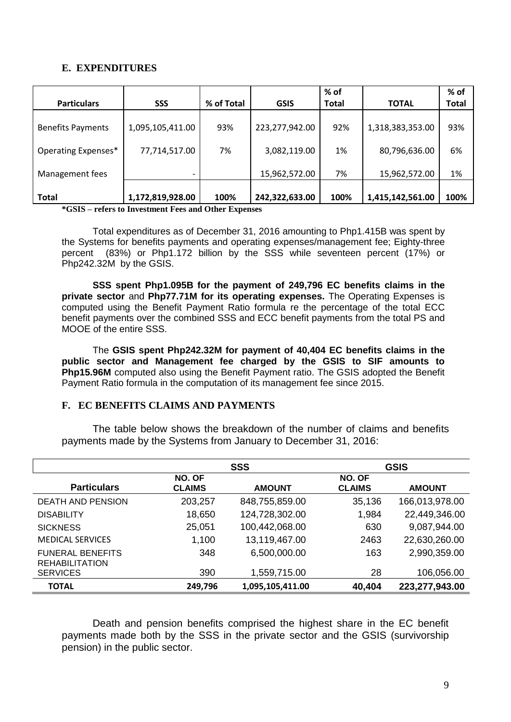#### **E. EXPENDITURES**

|                          |                  |            |                | % of         |                  | % of         |
|--------------------------|------------------|------------|----------------|--------------|------------------|--------------|
| <b>Particulars</b>       | <b>SSS</b>       | % of Total | <b>GSIS</b>    | <b>Total</b> | <b>TOTAL</b>     | <b>Total</b> |
| <b>Benefits Payments</b> | 1,095,105,411.00 | 93%        | 223,277,942.00 | 92%          | 1,318,383,353.00 | 93%          |
| Operating Expenses*      | 77,714,517.00    | 7%         | 3,082,119.00   | 1%           | 80,796,636.00    | 6%           |
| Management fees          |                  |            | 15,962,572.00  | 7%           | 15,962,572.00    | 1%           |
| <b>Total</b>             | 1,172,819,928.00 | 100%       | 242,322,633.00 | 100%         | 1,415,142,561.00 | 100%         |

**\*GSIS – refers to Investment Fees and Other Expenses**

Total expenditures as of December 31, 2016 amounting to Php1.415B was spent by the Systems for benefits payments and operating expenses/management fee; Eighty-three percent (83%) or Php1.172 billion by the SSS while seventeen percent (17%) or Php242.32M by the GSIS.

**SSS spent Php1.095B for the payment of 249,796 EC benefits claims in the private sector** and **Php77.71M for its operating expenses.** The Operating Expenses is computed using the Benefit Payment Ratio formula re the percentage of the total ECC benefit payments over the combined SSS and ECC benefit payments from the total PS and MOOE of the entire SSS.

The **GSIS spent Php242.32M for payment of 40,404 EC benefits claims in the public sector and Management fee charged by the GSIS to SIF amounts to Php15.96M** computed also using the Benefit Payment ratio. The GSIS adopted the Benefit Payment Ratio formula in the computation of its management fee since 2015.

#### **F. EC BENEFITS CLAIMS AND PAYMENTS**

The table below shows the breakdown of the number of claims and benefits payments made by the Systems from January to December 31, 2016:

|                                                  | <b>SSS</b>              |                  | <b>GSIS</b>             |                |  |
|--------------------------------------------------|-------------------------|------------------|-------------------------|----------------|--|
| <b>Particulars</b>                               | NO. OF<br><b>CLAIMS</b> | <b>AMOUNT</b>    | NO. OF<br><b>CLAIMS</b> | <b>AMOUNT</b>  |  |
| <b>DEATH AND PENSION</b>                         | 203,257                 | 848,755,859.00   | 35,136                  | 166,013,978.00 |  |
| <b>DISABILITY</b>                                | 18,650                  | 124,728,302.00   | 1,984                   | 22,449,346.00  |  |
| <b>SICKNESS</b>                                  | 25,051                  | 100,442,068.00   | 630                     | 9,087,944.00   |  |
| <b>MEDICAL SERVICES</b>                          | 1,100                   | 13,119,467.00    | 2463                    | 22,630,260.00  |  |
| <b>FUNERAL BENEFITS</b><br><b>REHABILITATION</b> | 348                     | 6,500,000.00     | 163                     | 2,990,359.00   |  |
| <b>SERVICES</b>                                  | 390                     | 1,559,715.00     | 28                      | 106,056.00     |  |
| <b>TOTAL</b>                                     | 249,796                 | 1,095,105,411.00 | 40,404                  | 223,277,943.00 |  |

Death and pension benefits comprised the highest share in the EC benefit payments made both by the SSS in the private sector and the GSIS (survivorship pension) in the public sector.